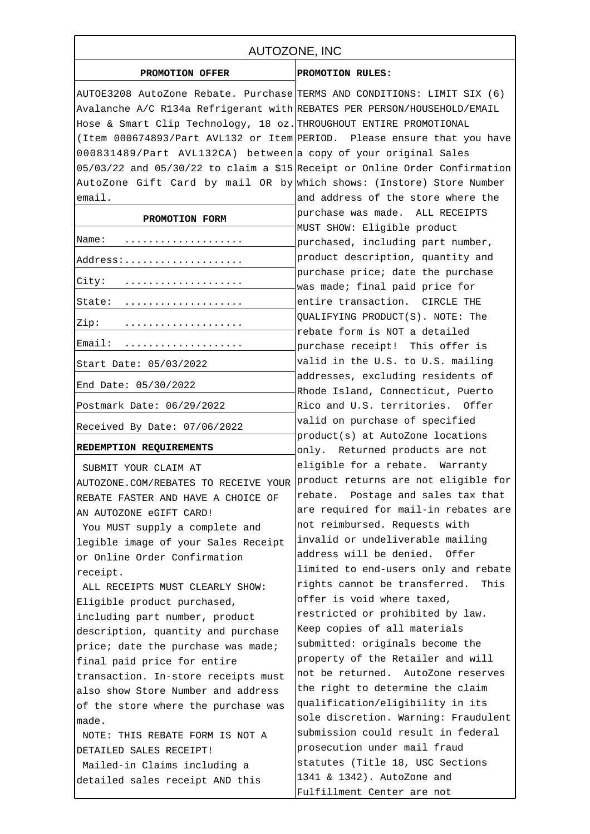| AUTOZONE, INC                                                              |                                                                       |
|----------------------------------------------------------------------------|-----------------------------------------------------------------------|
| PROMOTION OFFER                                                            | PROMOTION RULES:                                                      |
| AUTOE3208 AutoZone Rebate. Purchase TERMS AND CONDITIONS: LIMIT SIX (6)    |                                                                       |
| Avalanche A/C R134a Refrigerant with REBATES PER PERSON/HOUSEHOLD/EMAIL    |                                                                       |
| Hose & Smart Clip Technology, 18 oz. THROUGHOUT ENTIRE PROMOTIONAL         |                                                                       |
| (Item 000674893/Part AVL132 or Item PERIOD. Please ensure that you have    |                                                                       |
| 000831489/Part AVL132CA) between a copy of your original Sales             |                                                                       |
| 05/03/22 and 05/30/22 to claim a \$15 Receipt or Online Order Confirmation |                                                                       |
| AutoZone Gift Card by mail OR by which shows: (Instore) Store Number       |                                                                       |
| email.                                                                     | and address of the store where the                                    |
|                                                                            | purchase was made. ALL RECEIPTS                                       |
| PROMOTION FORM                                                             | MUST SHOW: Eligible product                                           |
| Name:                                                                      | purchased, including part number,                                     |
| Address:                                                                   | product description, quantity and                                     |
|                                                                            | purchase price; date the purchase                                     |
| City:<br>. <b>.</b>                                                        | was made; final paid price for                                        |
| State:                                                                     | entire transaction. CIRCLE THE                                        |
|                                                                            | QUALIFYING PRODUCT(S). NOTE: The                                      |
| Zip:                                                                       | rebate form is NOT a detailed                                         |
| Email:                                                                     | purchase receipt! This offer is                                       |
| Start Date: 05/03/2022                                                     | valid in the U.S. to U.S. mailing                                     |
| End Date: 05/30/2022                                                       | addresses, excluding residents of                                     |
| Postmark Date: 06/29/2022                                                  | Rhode Island, Connecticut, Puerto<br>Rico and U.S. territories. Offer |
|                                                                            |                                                                       |
| Received By Date: 07/06/2022                                               | valid on purchase of specified<br>product(s) at AutoZone locations    |
| REDEMPTION REQUIREMENTS                                                    | only. Returned products are not                                       |
|                                                                            | eligible for a rebate. Warranty                                       |
| SUBMIT YOUR CLAIM AT                                                       | product returns are not eligible for                                  |
| AUTOZONE.COM/REBATES TO RECEIVE YOUR                                       | rebate. Postage and sales tax that                                    |
| REBATE FASTER AND HAVE A CHOICE OF                                         | are required for mail-in rebates are                                  |
| AN AUTOZONE eGIFT CARD!                                                    | not reimbursed. Requests with                                         |
| You MUST supply a complete and                                             | invalid or undeliverable mailing                                      |
| legible image of your Sales Receipt                                        | address will be denied.<br>Offer                                      |
| or Online Order Confirmation                                               | limited to end-users only and rebate                                  |
| receipt.                                                                   | rights cannot be transferred.<br>This                                 |
| ALL RECEIPTS MUST CLEARLY SHOW:                                            | offer is void where taxed,                                            |
| Eligible product purchased,                                                | restricted or prohibited by law.                                      |
| including part number, product                                             | Keep copies of all materials                                          |
| description, quantity and purchase                                         | submitted: originals become the                                       |
| price; date the purchase was made;                                         | property of the Retailer and will                                     |
| final paid price for entire                                                | not be returned. AutoZone reserves                                    |
| transaction. In-store receipts must                                        | the right to determine the claim                                      |
| also show Store Number and address                                         | qualification/eligibility in its                                      |
| of the store where the purchase was<br>made.                               | sole discretion. Warning: Fraudulent                                  |
|                                                                            | submission could result in federal                                    |
| NOTE: THIS REBATE FORM IS NOT A<br>DETAILED SALES RECEIPT!                 | prosecution under mail fraud                                          |
| Mailed-in Claims including a                                               | statutes (Title 18, USC Sections                                      |
| detailed sales receipt AND this                                            | 1341 & 1342). AutoZone and                                            |
|                                                                            | Fulfillment Center are not                                            |